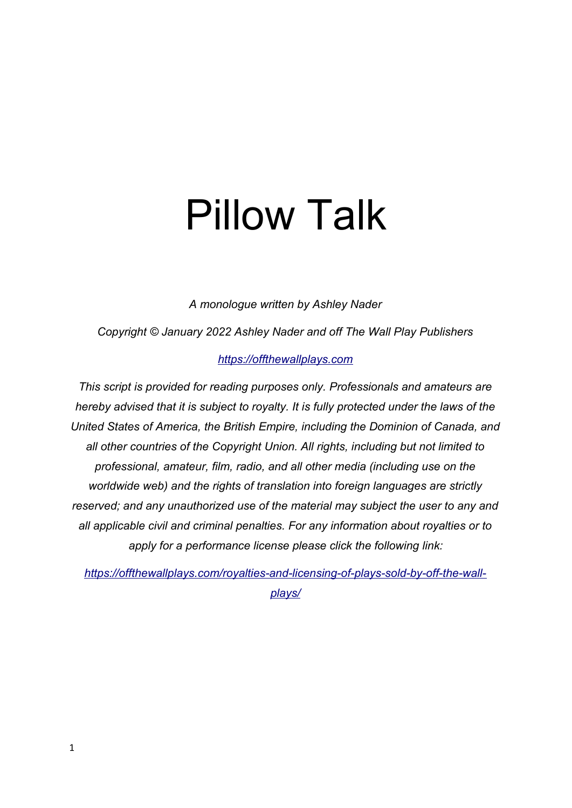## Pillow Talk

## *A monologue written by Ashley Nader*

*Copyright © January 2022 Ashley Nader and off The Wall Play Publishers*

## *[https://offthewallplays.com](https://offthewallplays.com/)*

*This script is provided for reading purposes only. Professionals and amateurs are hereby advised that it is subject to royalty. It is fully protected under the laws of the United States of America, the British Empire, including the Dominion of Canada, and all other countries of the Copyright Union. All rights, including but not limited to professional, amateur, film, radio, and all other media (including use on the worldwide web) and the rights of translation into foreign languages are strictly reserved; and any unauthorized use of the material may subject the user to any and all applicable civil and criminal penalties. For any information about royalties or to apply for a performance license please click the following link:* 

*[https://offthewallplays.com/royalties-and-licensing-of-plays-sold-by-off-the-wall](https://offthewallplays.com/royalties-and-licensing-of-plays-sold-by-off-the-wall-plays/)[plays/](https://offthewallplays.com/royalties-and-licensing-of-plays-sold-by-off-the-wall-plays/)*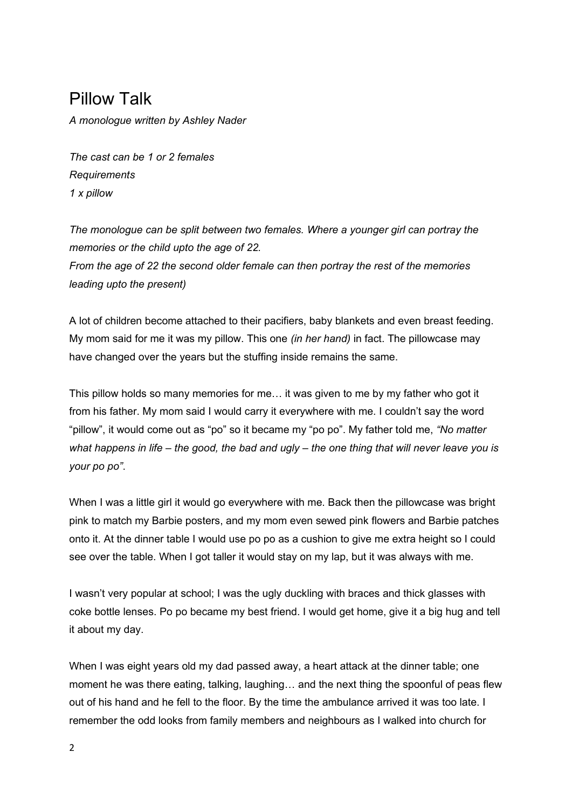## Pillow Talk

*A monologue written by Ashley Nader*

*The cast can be 1 or 2 females Requirements 1 x pillow*

*The monologue can be split between two females. Where a younger girl can portray the memories or the child upto the age of 22. From the age of 22 the second older female can then portray the rest of the memories leading upto the present)*

A lot of children become attached to their pacifiers, baby blankets and even breast feeding. My mom said for me it was my pillow. This one *(in her hand)* in fact. The pillowcase may have changed over the years but the stuffing inside remains the same.

This pillow holds so many memories for me… it was given to me by my father who got it from his father. My mom said I would carry it everywhere with me. I couldn't say the word "pillow", it would come out as "po" so it became my "po po". My father told me, *"No matter what happens in life – the good, the bad and ugly – the one thing that will never leave you is your po po"*.

When I was a little girl it would go everywhere with me. Back then the pillowcase was bright pink to match my Barbie posters, and my mom even sewed pink flowers and Barbie patches onto it. At the dinner table I would use po po as a cushion to give me extra height so I could see over the table. When I got taller it would stay on my lap, but it was always with me.

I wasn't very popular at school; I was the ugly duckling with braces and thick glasses with coke bottle lenses. Po po became my best friend. I would get home, give it a big hug and tell it about my day.

When I was eight years old my dad passed away, a heart attack at the dinner table; one moment he was there eating, talking, laughing… and the next thing the spoonful of peas flew out of his hand and he fell to the floor. By the time the ambulance arrived it was too late. I remember the odd looks from family members and neighbours as I walked into church for